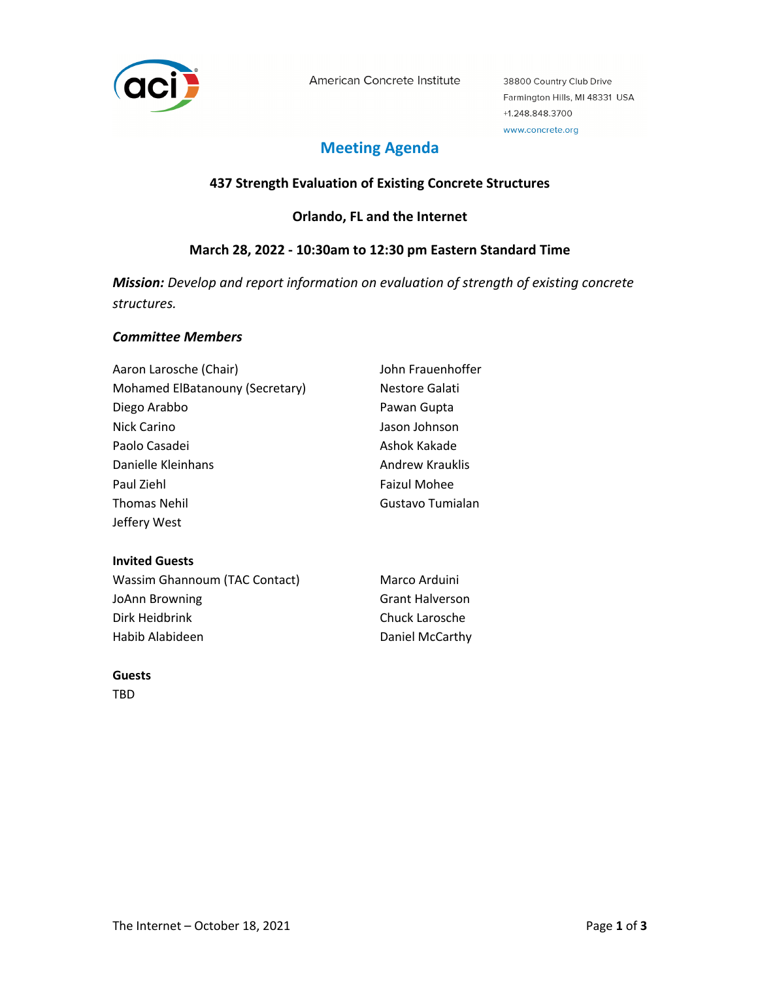

American Concrete Institute

38800 Country Club Drive Farmington Hills, MI 48331 USA +1.248.848.3700 www.concrete.org

# **Meeting Agenda**

## **437 Strength Evaluation of Existing Concrete Structures**

## **Orlando, FL and the Internet**

## **March 28, 2022 - 10:30am to 12:30 pm Eastern Standard Time**

*Mission: Develop and report information on evaluation of strength of existing concrete structures.*

#### *Committee Members*

| Aaron Larosche (Chair)          | John Frauenhoffer   |
|---------------------------------|---------------------|
| Mohamed ElBatanouny (Secretary) | Nestore Galati      |
| Diego Arabbo                    | Pawan Gupta         |
| Nick Carino                     | Jason Johnson       |
| Paolo Casadei                   | Ashok Kakade        |
| Danielle Kleinhans              | Andrew Krauklis     |
| Paul Ziehl                      | <b>Faizul Mohee</b> |
| <b>Thomas Nehil</b>             | Gustavo Tumialan    |
| Jeffery West                    |                     |

#### **Invited Guests**

| Wassim Ghannoum (TAC Contact) | Marco Arduini          |
|-------------------------------|------------------------|
| JoAnn Browning                | <b>Grant Halverson</b> |
| Dirk Heidbrink                | Chuck Larosche         |
| Habib Alabideen               | Daniel McCarthy        |

### **Guests**

TBD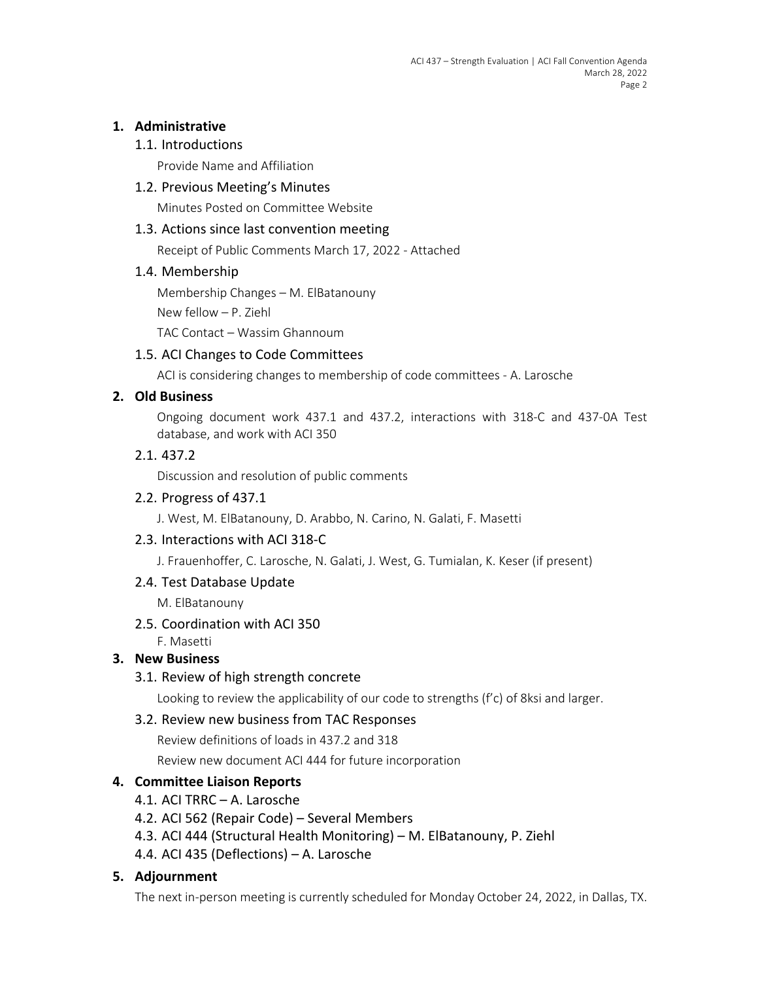## **1. Administrative**

## 1.1. Introductions

Provide Name and Affiliation

## 1.2. Previous Meeting's Minutes

Minutes Posted on Committee Website

### 1.3. Actions since last convention meeting

Receipt of Public Comments March 17, 2022 - Attached

#### 1.4. Membership

Membership Changes – M. ElBatanouny

New fellow – P. Ziehl

TAC Contact – Wassim Ghannoum

## 1.5. ACI Changes to Code Committees

ACI is considering changes to membership of code committees - A. Larosche

## **2. Old Business**

Ongoing document work 437.1 and 437.2, interactions with 318-C and 437-0A Test database, and work with ACI 350

#### 2.1. 437.2

Discussion and resolution of public comments

### 2.2. Progress of 437.1

J. West, M. ElBatanouny, D. Arabbo, N. Carino, N. Galati, F. Masetti

## 2.3. Interactions with ACI 318-C

J. Frauenhoffer, C. Larosche, N. Galati, J. West, G. Tumialan, K. Keser (if present)

## 2.4. Test Database Update

M. ElBatanouny

2.5. Coordination with ACI 350

F. Masetti

## **3. New Business**

3.1. Review of high strength concrete

Looking to review the applicability of our code to strengths (f'c) of 8ksi and larger.

## 3.2. Review new business from TAC Responses

Review definitions of loads in 437.2 and 318

Review new document ACI 444 for future incorporation

## **4. Committee Liaison Reports**

- 4.1. ACI TRRC A. Larosche
- 4.2. ACI 562 (Repair Code) Several Members
- 4.3. ACI 444 (Structural Health Monitoring) M. ElBatanouny, P. Ziehl
- 4.4. ACI 435 (Deflections) A. Larosche

## **5. Adjournment**

The next in-person meeting is currently scheduled for Monday October 24, 2022, in Dallas, TX.